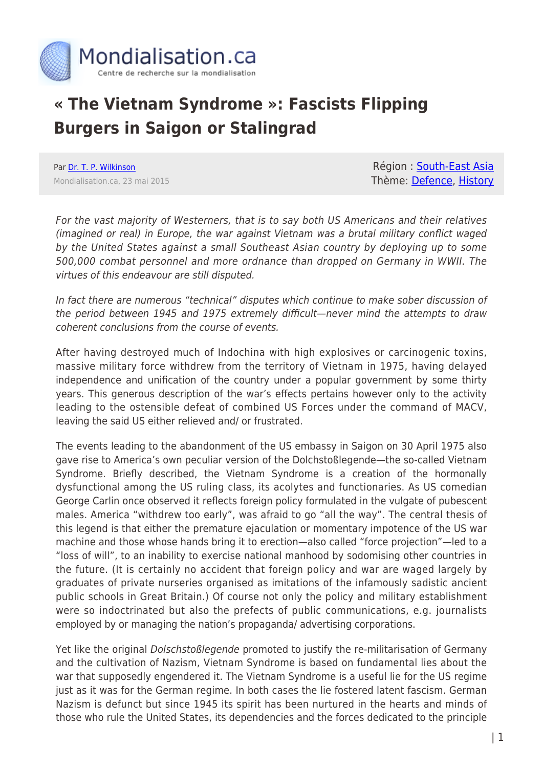

## **« The Vietnam Syndrome »: Fascists Flipping Burgers in Saigon or Stalingrad**

Par [Dr. T. P. Wilkinson](https://www.mondialisation.ca/author/t-p-wilkinson) Mondialisation.ca, 23 mai 2015

Région : [South-East Asia](https://www.mondialisation.ca/region/south-east-asia) Thème: [Defence](https://www.mondialisation.ca/theme/defence), [History](https://www.mondialisation.ca/theme/as-history)

For the vast majority of Westerners, that is to say both US Americans and their relatives (imagined or real) in Europe, the war against Vietnam was a brutal military conflict waged by the United States against a small Southeast Asian country by deploying up to some 500,000 combat personnel and more ordnance than dropped on Germany in WWII. The virtues of this endeavour are still disputed.

In fact there are numerous "technical" disputes which continue to make sober discussion of the period between 1945 and 1975 extremely difficult—never mind the attempts to draw coherent conclusions from the course of events.

After having destroyed much of Indochina with high explosives or carcinogenic toxins, massive military force withdrew from the territory of Vietnam in 1975, having delayed independence and unification of the country under a popular government by some thirty years. This generous description of the war's effects pertains however only to the activity leading to the ostensible defeat of combined US Forces under the command of MACV, leaving the said US either relieved and/ or frustrated.

The events leading to the abandonment of the US embassy in Saigon on 30 April 1975 also gave rise to America's own peculiar version of the Dolchstoßlegende—the so-called Vietnam Syndrome. Briefly described, the Vietnam Syndrome is a creation of the hormonally dysfunctional among the US ruling class, its acolytes and functionaries. As US comedian George Carlin once observed it reflects foreign policy formulated in the vulgate of pubescent males. America "withdrew too early", was afraid to go "all the way". The central thesis of this legend is that either the premature ejaculation or momentary impotence of the US war machine and those whose hands bring it to erection—also called "force projection"—led to a "loss of will", to an inability to exercise national manhood by sodomising other countries in the future. (It is certainly no accident that foreign policy and war are waged largely by graduates of private nurseries organised as imitations of the infamously sadistic ancient public schools in Great Britain.) Of course not only the policy and military establishment were so indoctrinated but also the prefects of public communications, e.g. journalists employed by or managing the nation's propaganda/ advertising corporations.

Yet like the original *Dolschstoßlegende* promoted to justify the re-militarisation of Germany and the cultivation of Nazism, Vietnam Syndrome is based on fundamental lies about the war that supposedly engendered it. The Vietnam Syndrome is a useful lie for the US regime just as it was for the German regime. In both cases the lie fostered latent fascism. German Nazism is defunct but since 1945 its spirit has been nurtured in the hearts and minds of those who rule the United States, its dependencies and the forces dedicated to the principle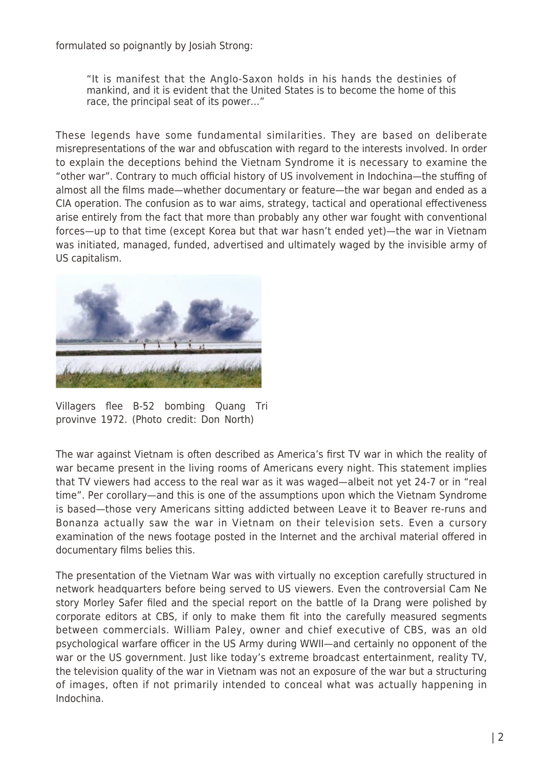formulated so poignantly by Josiah Strong:

"It is manifest that the Anglo-Saxon holds in his hands the destinies of mankind, and it is evident that the United States is to become the home of this race, the principal seat of its power…"

These legends have some fundamental similarities. They are based on deliberate misrepresentations of the war and obfuscation with regard to the interests involved. In order to explain the deceptions behind the Vietnam Syndrome it is necessary to examine the "other war". Contrary to much official history of US involvement in Indochina—the stuffing of almost all the films made—whether documentary or feature—the war began and ended as a CIA operation. The confusion as to war aims, strategy, tactical and operational effectiveness arise entirely from the fact that more than probably any other war fought with conventional forces—up to that time (except Korea but that war hasn't ended yet)—the war in Vietnam was initiated, managed, funded, advertised and ultimately waged by the invisible army of US capitalism.



Villagers flee B-52 bombing Quang Tri provinve 1972. (Photo credit: Don North)

The war against Vietnam is often described as America's first TV war in which the reality of war became present in the living rooms of Americans every night. This statement implies that TV viewers had access to the real war as it was waged—albeit not yet 24-7 or in "real time". Per corollary—and this is one of the assumptions upon which the Vietnam Syndrome is based—those very Americans sitting addicted between Leave it to Beaver re-runs and Bonanza actually saw the war in Vietnam on their television sets. Even a cursory examination of the news footage posted in the Internet and the archival material offered in documentary films belies this.

The presentation of the Vietnam War was with virtually no exception carefully structured in network headquarters before being served to US viewers. Even the controversial Cam Ne story Morley Safer filed and the special report on the battle of Ia Drang were polished by corporate editors at CBS, if only to make them fit into the carefully measured segments between commercials. William Paley, owner and chief executive of CBS, was an old psychological warfare officer in the US Army during WWII—and certainly no opponent of the war or the US government. Just like today's extreme broadcast entertainment, reality TV, the television quality of the war in Vietnam was not an exposure of the war but a structuring of images, often if not primarily intended to conceal what was actually happening in Indochina.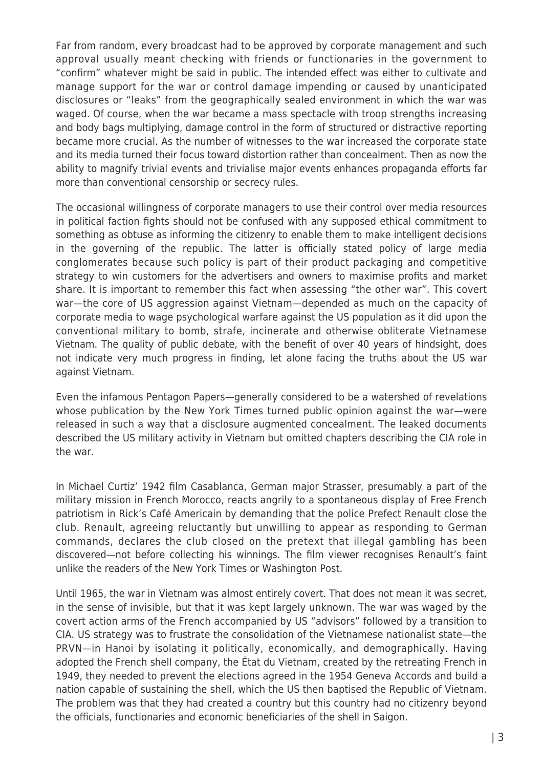Far from random, every broadcast had to be approved by corporate management and such approval usually meant checking with friends or functionaries in the government to "confirm" whatever might be said in public. The intended effect was either to cultivate and manage support for the war or control damage impending or caused by unanticipated disclosures or "leaks" from the geographically sealed environment in which the war was waged. Of course, when the war became a mass spectacle with troop strengths increasing and body bags multiplying, damage control in the form of structured or distractive reporting became more crucial. As the number of witnesses to the war increased the corporate state and its media turned their focus toward distortion rather than concealment. Then as now the ability to magnify trivial events and trivialise major events enhances propaganda efforts far more than conventional censorship or secrecy rules.

The occasional willingness of corporate managers to use their control over media resources in political faction fights should not be confused with any supposed ethical commitment to something as obtuse as informing the citizenry to enable them to make intelligent decisions in the governing of the republic. The latter is officially stated policy of large media conglomerates because such policy is part of their product packaging and competitive strategy to win customers for the advertisers and owners to maximise profits and market share. It is important to remember this fact when assessing "the other war". This covert war—the core of US aggression against Vietnam—depended as much on the capacity of corporate media to wage psychological warfare against the US population as it did upon the conventional military to bomb, strafe, incinerate and otherwise obliterate Vietnamese Vietnam. The quality of public debate, with the benefit of over 40 years of hindsight, does not indicate very much progress in finding, let alone facing the truths about the US war against Vietnam.

Even the infamous Pentagon Papers—generally considered to be a watershed of revelations whose publication by the New York Times turned public opinion against the war—were released in such a way that a disclosure augmented concealment. The leaked documents described the US military activity in Vietnam but omitted chapters describing the CIA role in the war.

In Michael Curtiz' 1942 film Casablanca, German major Strasser, presumably a part of the military mission in French Morocco, reacts angrily to a spontaneous display of Free French patriotism in Rick's Café Americain by demanding that the police Prefect Renault close the club. Renault, agreeing reluctantly but unwilling to appear as responding to German commands, declares the club closed on the pretext that illegal gambling has been discovered—not before collecting his winnings. The film viewer recognises Renault's faint unlike the readers of the New York Times or Washington Post.

Until 1965, the war in Vietnam was almost entirely covert. That does not mean it was secret, in the sense of invisible, but that it was kept largely unknown. The war was waged by the covert action arms of the French accompanied by US "advisors" followed by a transition to CIA. US strategy was to frustrate the consolidation of the Vietnamese nationalist state—the PRVN—in Hanoi by isolating it politically, economically, and demographically. Having adopted the French shell company, the État du Vietnam, created by the retreating French in 1949, they needed to prevent the elections agreed in the 1954 Geneva Accords and build a nation capable of sustaining the shell, which the US then baptised the Republic of Vietnam. The problem was that they had created a country but this country had no citizenry beyond the officials, functionaries and economic beneficiaries of the shell in Saigon.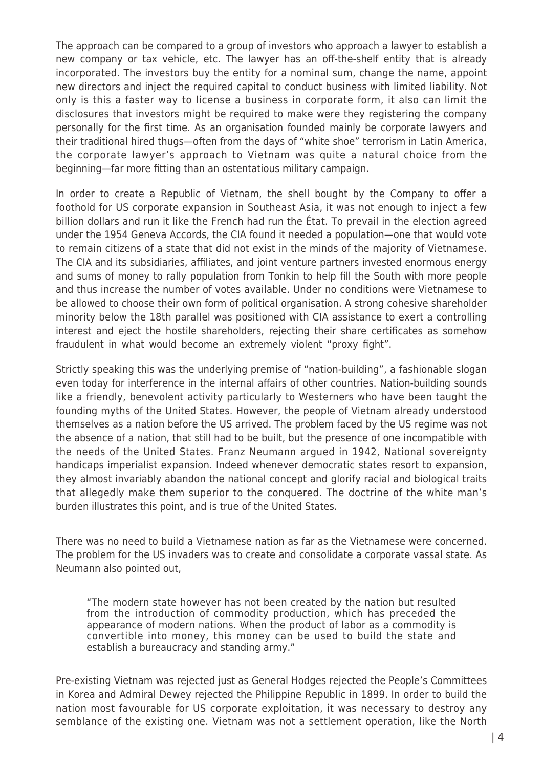The approach can be compared to a group of investors who approach a lawyer to establish a new company or tax vehicle, etc. The lawyer has an off-the-shelf entity that is already incorporated. The investors buy the entity for a nominal sum, change the name, appoint new directors and inject the required capital to conduct business with limited liability. Not only is this a faster way to license a business in corporate form, it also can limit the disclosures that investors might be required to make were they registering the company personally for the first time. As an organisation founded mainly be corporate lawyers and their traditional hired thugs—often from the days of "white shoe" terrorism in Latin America, the corporate lawyer's approach to Vietnam was quite a natural choice from the beginning—far more fitting than an ostentatious military campaign.

In order to create a Republic of Vietnam, the shell bought by the Company to offer a foothold for US corporate expansion in Southeast Asia, it was not enough to inject a few billion dollars and run it like the French had run the État. To prevail in the election agreed under the 1954 Geneva Accords, the CIA found it needed a population—one that would vote to remain citizens of a state that did not exist in the minds of the majority of Vietnamese. The CIA and its subsidiaries, affiliates, and joint venture partners invested enormous energy and sums of money to rally population from Tonkin to help fill the South with more people and thus increase the number of votes available. Under no conditions were Vietnamese to be allowed to choose their own form of political organisation. A strong cohesive shareholder minority below the 18th parallel was positioned with CIA assistance to exert a controlling interest and eject the hostile shareholders, rejecting their share certificates as somehow fraudulent in what would become an extremely violent "proxy fight".

Strictly speaking this was the underlying premise of "nation-building", a fashionable slogan even today for interference in the internal affairs of other countries. Nation-building sounds like a friendly, benevolent activity particularly to Westerners who have been taught the founding myths of the United States. However, the people of Vietnam already understood themselves as a nation before the US arrived. The problem faced by the US regime was not the absence of a nation, that still had to be built, but the presence of one incompatible with the needs of the United States. Franz Neumann argued in 1942, National sovereignty handicaps imperialist expansion. Indeed whenever democratic states resort to expansion, they almost invariably abandon the national concept and glorify racial and biological traits that allegedly make them superior to the conquered. The doctrine of the white man's burden illustrates this point, and is true of the United States.

There was no need to build a Vietnamese nation as far as the Vietnamese were concerned. The problem for the US invaders was to create and consolidate a corporate vassal state. As Neumann also pointed out,

"The modern state however has not been created by the nation but resulted from the introduction of commodity production, which has preceded the appearance of modern nations. When the product of labor as a commodity is convertible into money, this money can be used to build the state and establish a bureaucracy and standing army."

Pre-existing Vietnam was rejected just as General Hodges rejected the People's Committees in Korea and Admiral Dewey rejected the Philippine Republic in 1899. In order to build the nation most favourable for US corporate exploitation, it was necessary to destroy any semblance of the existing one. Vietnam was not a settlement operation, like the North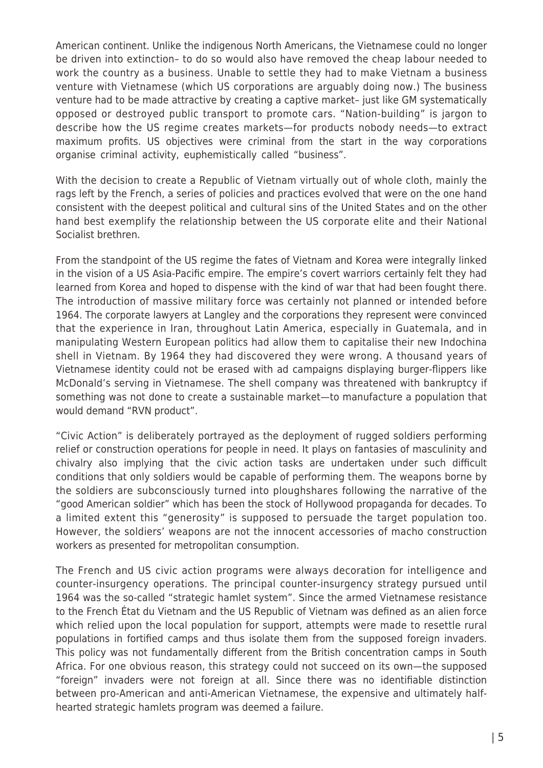American continent. Unlike the indigenous North Americans, the Vietnamese could no longer be driven into extinction– to do so would also have removed the cheap labour needed to work the country as a business. Unable to settle they had to make Vietnam a business venture with Vietnamese (which US corporations are arguably doing now.) The business venture had to be made attractive by creating a captive market– just like GM systematically opposed or destroyed public transport to promote cars. "Nation-building" is jargon to describe how the US regime creates markets—for products nobody needs—to extract maximum profits. US objectives were criminal from the start in the way corporations organise criminal activity, euphemistically called "business".

With the decision to create a Republic of Vietnam virtually out of whole cloth, mainly the rags left by the French, a series of policies and practices evolved that were on the one hand consistent with the deepest political and cultural sins of the United States and on the other hand best exemplify the relationship between the US corporate elite and their National Socialist brethren.

From the standpoint of the US regime the fates of Vietnam and Korea were integrally linked in the vision of a US Asia-Pacific empire. The empire's covert warriors certainly felt they had learned from Korea and hoped to dispense with the kind of war that had been fought there. The introduction of massive military force was certainly not planned or intended before 1964. The corporate lawyers at Langley and the corporations they represent were convinced that the experience in Iran, throughout Latin America, especially in Guatemala, and in manipulating Western European politics had allow them to capitalise their new Indochina shell in Vietnam. By 1964 they had discovered they were wrong. A thousand years of Vietnamese identity could not be erased with ad campaigns displaying burger-flippers like McDonald's serving in Vietnamese. The shell company was threatened with bankruptcy if something was not done to create a sustainable market—to manufacture a population that would demand "RVN product".

"Civic Action" is deliberately portrayed as the deployment of rugged soldiers performing relief or construction operations for people in need. It plays on fantasies of masculinity and chivalry also implying that the civic action tasks are undertaken under such difficult conditions that only soldiers would be capable of performing them. The weapons borne by the soldiers are subconsciously turned into ploughshares following the narrative of the "good American soldier" which has been the stock of Hollywood propaganda for decades. To a limited extent this "generosity" is supposed to persuade the target population too. However, the soldiers' weapons are not the innocent accessories of macho construction workers as presented for metropolitan consumption.

The French and US civic action programs were always decoration for intelligence and counter-insurgency operations. The principal counter-insurgency strategy pursued until 1964 was the so-called "strategic hamlet system". Since the armed Vietnamese resistance to the French État du Vietnam and the US Republic of Vietnam was defined as an alien force which relied upon the local population for support, attempts were made to resettle rural populations in fortified camps and thus isolate them from the supposed foreign invaders. This policy was not fundamentally different from the British concentration camps in South Africa. For one obvious reason, this strategy could not succeed on its own—the supposed "foreign" invaders were not foreign at all. Since there was no identifiable distinction between pro-American and anti-American Vietnamese, the expensive and ultimately halfhearted strategic hamlets program was deemed a failure.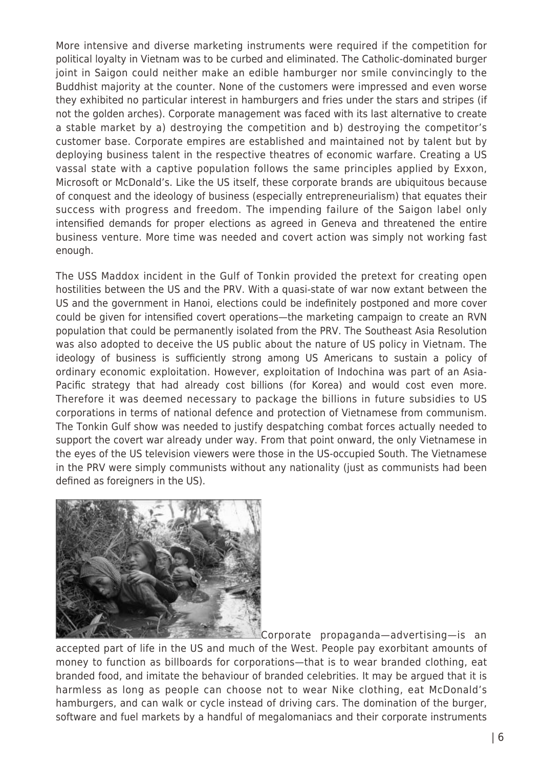More intensive and diverse marketing instruments were required if the competition for political loyalty in Vietnam was to be curbed and eliminated. The Catholic-dominated burger joint in Saigon could neither make an edible hamburger nor smile convincingly to the Buddhist majority at the counter. None of the customers were impressed and even worse they exhibited no particular interest in hamburgers and fries under the stars and stripes (if not the golden arches). Corporate management was faced with its last alternative to create a stable market by a) destroying the competition and b) destroying the competitor's customer base. Corporate empires are established and maintained not by talent but by deploying business talent in the respective theatres of economic warfare. Creating a US vassal state with a captive population follows the same principles applied by Exxon, Microsoft or McDonald's. Like the US itself, these corporate brands are ubiquitous because of conquest and the ideology of business (especially entrepreneurialism) that equates their success with progress and freedom. The impending failure of the Saigon label only intensified demands for proper elections as agreed in Geneva and threatened the entire business venture. More time was needed and covert action was simply not working fast enough.

The USS Maddox incident in the Gulf of Tonkin provided the pretext for creating open hostilities between the US and the PRV. With a quasi-state of war now extant between the US and the government in Hanoi, elections could be indefinitely postponed and more cover could be given for intensified covert operations—the marketing campaign to create an RVN population that could be permanently isolated from the PRV. The Southeast Asia Resolution was also adopted to deceive the US public about the nature of US policy in Vietnam. The ideology of business is sufficiently strong among US Americans to sustain a policy of ordinary economic exploitation. However, exploitation of Indochina was part of an Asia-Pacific strategy that had already cost billions (for Korea) and would cost even more. Therefore it was deemed necessary to package the billions in future subsidies to US corporations in terms of national defence and protection of Vietnamese from communism. The Tonkin Gulf show was needed to justify despatching combat forces actually needed to support the covert war already under way. From that point onward, the only Vietnamese in the eyes of the US television viewers were those in the US-occupied South. The Vietnamese in the PRV were simply communists without any nationality (just as communists had been defined as foreigners in the US).



Corporate propaganda—advertising—is an accepted part of life in the US and much of the West. People pay exorbitant amounts of money to function as billboards for corporations—that is to wear branded clothing, eat branded food, and imitate the behaviour of branded celebrities. It may be argued that it is harmless as long as people can choose not to wear Nike clothing, eat McDonald's hamburgers, and can walk or cycle instead of driving cars. The domination of the burger, software and fuel markets by a handful of megalomaniacs and their corporate instruments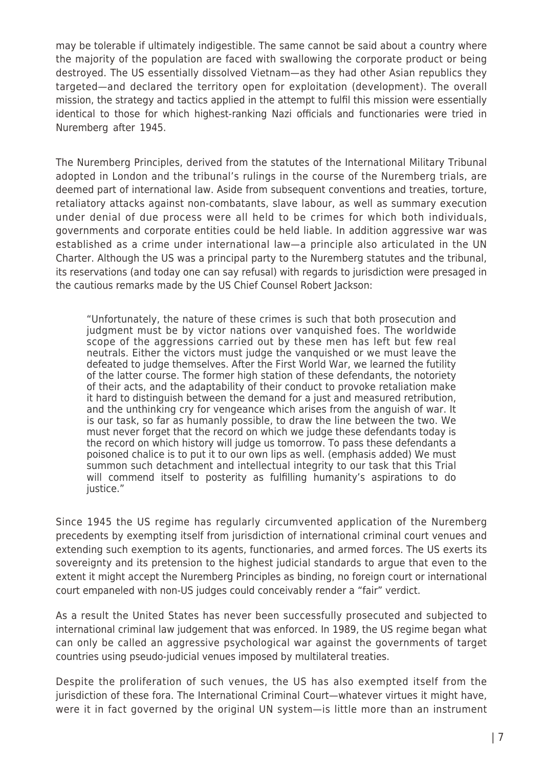may be tolerable if ultimately indigestible. The same cannot be said about a country where the majority of the population are faced with swallowing the corporate product or being destroyed. The US essentially dissolved Vietnam—as they had other Asian republics they targeted—and declared the territory open for exploitation (development). The overall mission, the strategy and tactics applied in the attempt to fulfil this mission were essentially identical to those for which highest-ranking Nazi officials and functionaries were tried in Nuremberg after 1945.

The Nuremberg Principles, derived from the statutes of the International Military Tribunal adopted in London and the tribunal's rulings in the course of the Nuremberg trials, are deemed part of international law. Aside from subsequent conventions and treaties, torture, retaliatory attacks against non-combatants, slave labour, as well as summary execution under denial of due process were all held to be crimes for which both individuals, governments and corporate entities could be held liable. In addition aggressive war was established as a crime under international law—a principle also articulated in the UN Charter. Although the US was a principal party to the Nuremberg statutes and the tribunal, its reservations (and today one can say refusal) with regards to jurisdiction were presaged in the cautious remarks made by the US Chief Counsel Robert Jackson:

"Unfortunately, the nature of these crimes is such that both prosecution and judgment must be by victor nations over vanquished foes. The worldwide scope of the aggressions carried out by these men has left but few real neutrals. Either the victors must judge the vanquished or we must leave the defeated to judge themselves. After the First World War, we learned the futility of the latter course. The former high station of these defendants, the notoriety of their acts, and the adaptability of their conduct to provoke retaliation make it hard to distinguish between the demand for a just and measured retribution, and the unthinking cry for vengeance which arises from the anguish of war. It is our task, so far as humanly possible, to draw the line between the two. We must never forget that the record on which we judge these defendants today is the record on which history will judge us tomorrow. To pass these defendants a poisoned chalice is to put it to our own lips as well. (emphasis added) We must summon such detachment and intellectual integrity to our task that this Trial will commend itself to posterity as fulfilling humanity's aspirations to do justice."

Since 1945 the US regime has regularly circumvented application of the Nuremberg precedents by exempting itself from jurisdiction of international criminal court venues and extending such exemption to its agents, functionaries, and armed forces. The US exerts its sovereignty and its pretension to the highest judicial standards to argue that even to the extent it might accept the Nuremberg Principles as binding, no foreign court or international court empaneled with non-US judges could conceivably render a "fair" verdict.

As a result the United States has never been successfully prosecuted and subjected to international criminal law judgement that was enforced. In 1989, the US regime began what can only be called an aggressive psychological war against the governments of target countries using pseudo-judicial venues imposed by multilateral treaties.

Despite the proliferation of such venues, the US has also exempted itself from the jurisdiction of these fora. The International Criminal Court—whatever virtues it might have. were it in fact governed by the original UN system—is little more than an instrument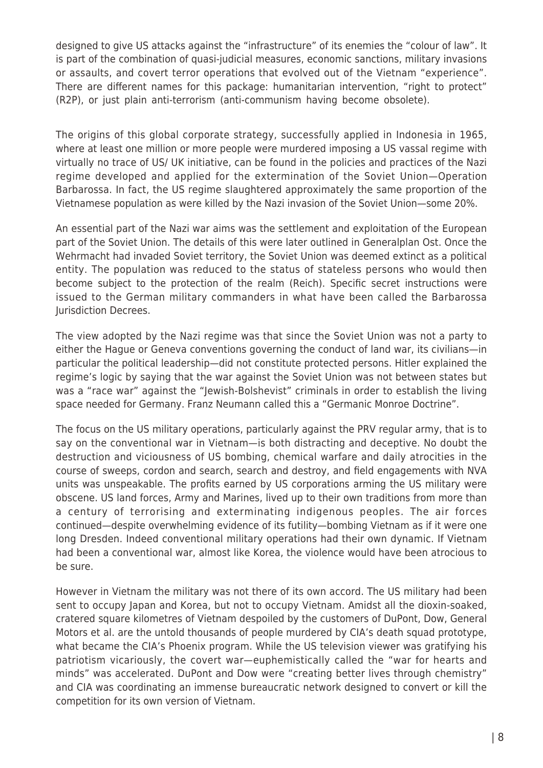designed to give US attacks against the "infrastructure" of its enemies the "colour of law". It is part of the combination of quasi-judicial measures, economic sanctions, military invasions or assaults, and covert terror operations that evolved out of the Vietnam "experience". There are different names for this package: humanitarian intervention, "right to protect" (R2P), or just plain anti-terrorism (anti-communism having become obsolete).

The origins of this global corporate strategy, successfully applied in Indonesia in 1965, where at least one million or more people were murdered imposing a US vassal regime with virtually no trace of US/ UK initiative, can be found in the policies and practices of the Nazi regime developed and applied for the extermination of the Soviet Union—Operation Barbarossa. In fact, the US regime slaughtered approximately the same proportion of the Vietnamese population as were killed by the Nazi invasion of the Soviet Union—some 20%.

An essential part of the Nazi war aims was the settlement and exploitation of the European part of the Soviet Union. The details of this were later outlined in Generalplan Ost. Once the Wehrmacht had invaded Soviet territory, the Soviet Union was deemed extinct as a political entity. The population was reduced to the status of stateless persons who would then become subject to the protection of the realm (Reich). Specific secret instructions were issued to the German military commanders in what have been called the Barbarossa Jurisdiction Decrees.

The view adopted by the Nazi regime was that since the Soviet Union was not a party to either the Hague or Geneva conventions governing the conduct of land war, its civilians—in particular the political leadership—did not constitute protected persons. Hitler explained the regime's logic by saying that the war against the Soviet Union was not between states but was a "race war" against the "Jewish-Bolshevist" criminals in order to establish the living space needed for Germany. Franz Neumann called this a "Germanic Monroe Doctrine".

The focus on the US military operations, particularly against the PRV regular army, that is to say on the conventional war in Vietnam—is both distracting and deceptive. No doubt the destruction and viciousness of US bombing, chemical warfare and daily atrocities in the course of sweeps, cordon and search, search and destroy, and field engagements with NVA units was unspeakable. The profits earned by US corporations arming the US military were obscene. US land forces, Army and Marines, lived up to their own traditions from more than a century of terrorising and exterminating indigenous peoples. The air forces continued—despite overwhelming evidence of its futility—bombing Vietnam as if it were one long Dresden. Indeed conventional military operations had their own dynamic. If Vietnam had been a conventional war, almost like Korea, the violence would have been atrocious to be sure.

However in Vietnam the military was not there of its own accord. The US military had been sent to occupy Japan and Korea, but not to occupy Vietnam. Amidst all the dioxin-soaked, cratered square kilometres of Vietnam despoiled by the customers of DuPont, Dow, General Motors et al. are the untold thousands of people murdered by CIA's death squad prototype, what became the CIA's Phoenix program. While the US television viewer was gratifying his patriotism vicariously, the covert war—euphemistically called the "war for hearts and minds" was accelerated. DuPont and Dow were "creating better lives through chemistry" and CIA was coordinating an immense bureaucratic network designed to convert or kill the competition for its own version of Vietnam.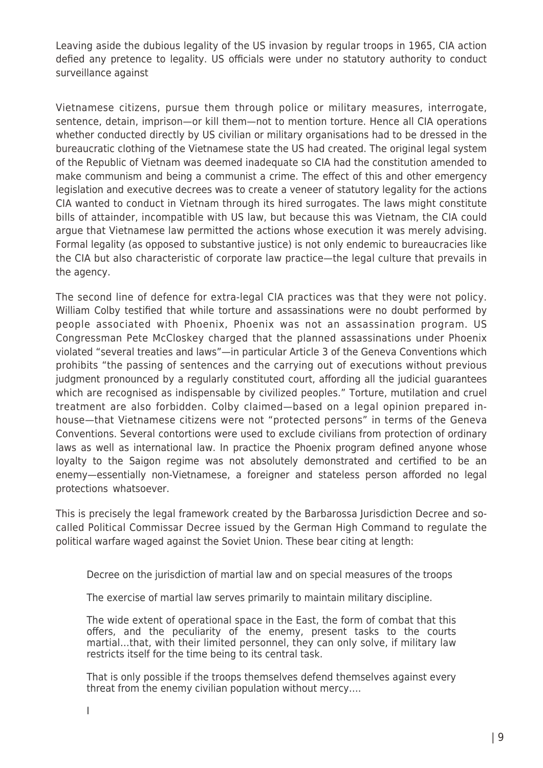Leaving aside the dubious legality of the US invasion by regular troops in 1965, CIA action defied any pretence to legality. US officials were under no statutory authority to conduct surveillance against

Vietnamese citizens, pursue them through police or military measures, interrogate, sentence, detain, imprison—or kill them—not to mention torture. Hence all CIA operations whether conducted directly by US civilian or military organisations had to be dressed in the bureaucratic clothing of the Vietnamese state the US had created. The original legal system of the Republic of Vietnam was deemed inadequate so CIA had the constitution amended to make communism and being a communist a crime. The effect of this and other emergency legislation and executive decrees was to create a veneer of statutory legality for the actions CIA wanted to conduct in Vietnam through its hired surrogates. The laws might constitute bills of attainder, incompatible with US law, but because this was Vietnam, the CIA could argue that Vietnamese law permitted the actions whose execution it was merely advising. Formal legality (as opposed to substantive justice) is not only endemic to bureaucracies like the CIA but also characteristic of corporate law practice—the legal culture that prevails in the agency.

The second line of defence for extra-legal CIA practices was that they were not policy. William Colby testified that while torture and assassinations were no doubt performed by people associated with Phoenix, Phoenix was not an assassination program. US Congressman Pete McCloskey charged that the planned assassinations under Phoenix violated "several treaties and laws"—in particular Article 3 of the Geneva Conventions which prohibits "the passing of sentences and the carrying out of executions without previous judgment pronounced by a regularly constituted court, affording all the judicial guarantees which are recognised as indispensable by civilized peoples." Torture, mutilation and cruel treatment are also forbidden. Colby claimed—based on a legal opinion prepared inhouse—that Vietnamese citizens were not "protected persons" in terms of the Geneva Conventions. Several contortions were used to exclude civilians from protection of ordinary laws as well as international law. In practice the Phoenix program defined anyone whose loyalty to the Saigon regime was not absolutely demonstrated and certified to be an enemy—essentially non-Vietnamese, a foreigner and stateless person afforded no legal protections whatsoever.

This is precisely the legal framework created by the Barbarossa Jurisdiction Decree and socalled Political Commissar Decree issued by the German High Command to regulate the political warfare waged against the Soviet Union. These bear citing at length:

Decree on the jurisdiction of martial law and on special measures of the troops

The exercise of martial law serves primarily to maintain military discipline.

The wide extent of operational space in the East, the form of combat that this offers, and the peculiarity of the enemy, present tasks to the courts martial…that, with their limited personnel, they can only solve, if military law restricts itself for the time being to its central task.

That is only possible if the troops themselves defend themselves against every threat from the enemy civilian population without mercy….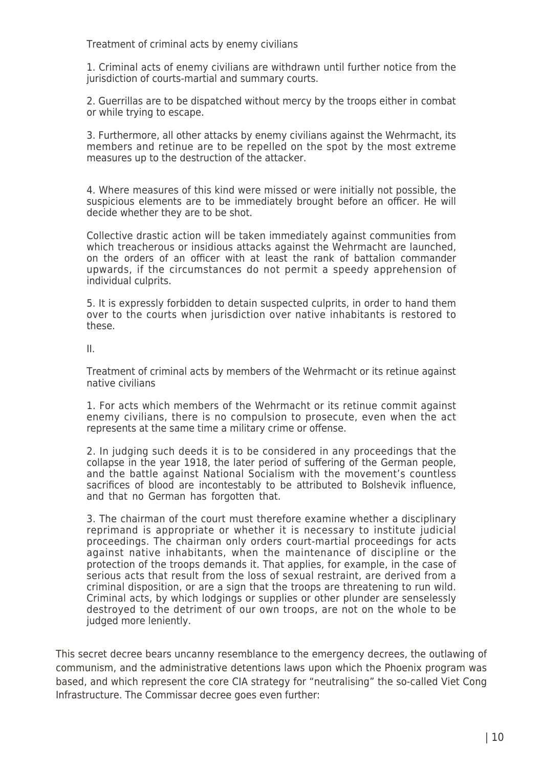Treatment of criminal acts by enemy civilians

1. Criminal acts of enemy civilians are withdrawn until further notice from the jurisdiction of courts-martial and summary courts.

2. Guerrillas are to be dispatched without mercy by the troops either in combat or while trying to escape.

3. Furthermore, all other attacks by enemy civilians against the Wehrmacht, its members and retinue are to be repelled on the spot by the most extreme measures up to the destruction of the attacker.

4. Where measures of this kind were missed or were initially not possible, the suspicious elements are to be immediately brought before an officer. He will decide whether they are to be shot.

Collective drastic action will be taken immediately against communities from which treacherous or insidious attacks against the Wehrmacht are launched, on the orders of an officer with at least the rank of battalion commander upwards, if the circumstances do not permit a speedy apprehension of individual culprits.

5. It is expressly forbidden to detain suspected culprits, in order to hand them over to the courts when jurisdiction over native inhabitants is restored to these.

II.

Treatment of criminal acts by members of the Wehrmacht or its retinue against native civilians

1. For acts which members of the Wehrmacht or its retinue commit against enemy civilians, there is no compulsion to prosecute, even when the act represents at the same time a military crime or offense.

2. In judging such deeds it is to be considered in any proceedings that the collapse in the year 1918, the later period of suffering of the German people, and the battle against National Socialism with the movement's countless sacrifices of blood are incontestably to be attributed to Bolshevik influence, and that no German has forgotten that.

3. The chairman of the court must therefore examine whether a disciplinary reprimand is appropriate or whether it is necessary to institute judicial proceedings. The chairman only orders court-martial proceedings for acts against native inhabitants, when the maintenance of discipline or the protection of the troops demands it. That applies, for example, in the case of serious acts that result from the loss of sexual restraint, are derived from a criminal disposition, or are a sign that the troops are threatening to run wild. Criminal acts, by which lodgings or supplies or other plunder are senselessly destroyed to the detriment of our own troops, are not on the whole to be judged more leniently.

This secret decree bears uncanny resemblance to the emergency decrees, the outlawing of communism, and the administrative detentions laws upon which the Phoenix program was based, and which represent the core CIA strategy for "neutralising" the so-called Viet Cong Infrastructure. The Commissar decree goes even further: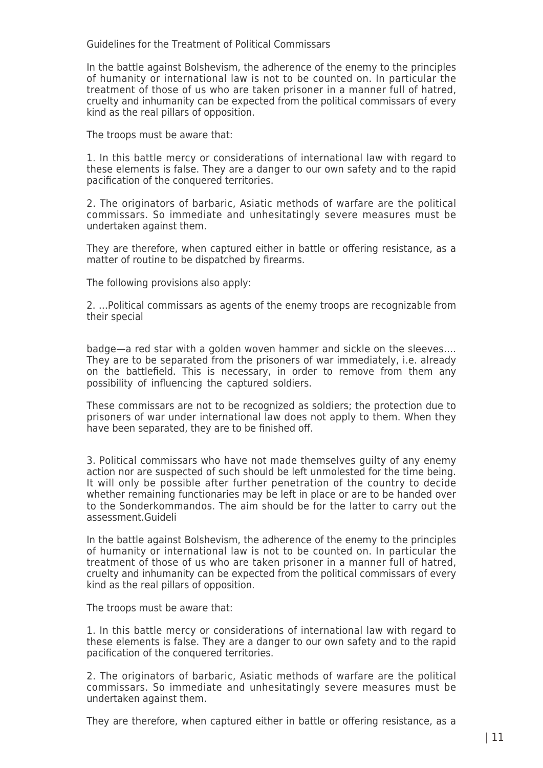Guidelines for the Treatment of Political Commissars

In the battle against Bolshevism, the adherence of the enemy to the principles of humanity or international law is not to be counted on. In particular the treatment of those of us who are taken prisoner in a manner full of hatred, cruelty and inhumanity can be expected from the political commissars of every kind as the real pillars of opposition.

The troops must be aware that:

1. In this battle mercy or considerations of international law with regard to these elements is false. They are a danger to our own safety and to the rapid pacification of the conquered territories.

2. The originators of barbaric, Asiatic methods of warfare are the political commissars. So immediate and unhesitatingly severe measures must be undertaken against them.

They are therefore, when captured either in battle or offering resistance, as a matter of routine to be dispatched by firearms.

The following provisions also apply:

2. …Political commissars as agents of the enemy troops are recognizable from their special

badge—a red star with a golden woven hammer and sickle on the sleeves…. They are to be separated from the prisoners of war immediately, i.e. already on the battlefield. This is necessary, in order to remove from them any possibility of influencing the captured soldiers.

These commissars are not to be recognized as soldiers; the protection due to prisoners of war under international law does not apply to them. When they have been separated, they are to be finished off.

3. Political commissars who have not made themselves guilty of any enemy action nor are suspected of such should be left unmolested for the time being. It will only be possible after further penetration of the country to decide whether remaining functionaries may be left in place or are to be handed over to the Sonderkommandos. The aim should be for the latter to carry out the assessment.Guideli

In the battle against Bolshevism, the adherence of the enemy to the principles of humanity or international law is not to be counted on. In particular the treatment of those of us who are taken prisoner in a manner full of hatred, cruelty and inhumanity can be expected from the political commissars of every kind as the real pillars of opposition.

The troops must be aware that:

1. In this battle mercy or considerations of international law with regard to these elements is false. They are a danger to our own safety and to the rapid pacification of the conquered territories.

2. The originators of barbaric, Asiatic methods of warfare are the political commissars. So immediate and unhesitatingly severe measures must be undertaken against them.

They are therefore, when captured either in battle or offering resistance, as a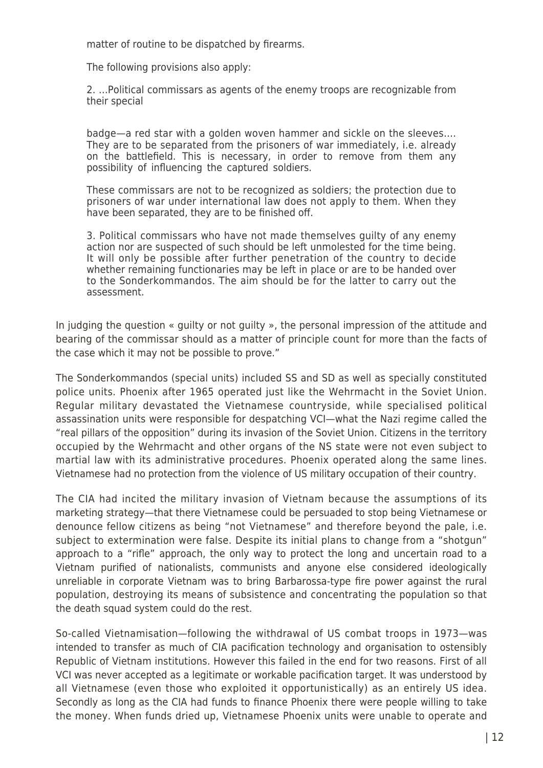matter of routine to be dispatched by firearms.

The following provisions also apply:

2. …Political commissars as agents of the enemy troops are recognizable from their special

badge—a red star with a golden woven hammer and sickle on the sleeves…. They are to be separated from the prisoners of war immediately, i.e. already on the battlefield. This is necessary, in order to remove from them any possibility of influencing the captured soldiers.

These commissars are not to be recognized as soldiers; the protection due to prisoners of war under international law does not apply to them. When they have been separated, they are to be finished off.

3. Political commissars who have not made themselves guilty of any enemy action nor are suspected of such should be left unmolested for the time being. It will only be possible after further penetration of the country to decide whether remaining functionaries may be left in place or are to be handed over to the Sonderkommandos. The aim should be for the latter to carry out the assessment.

In judging the question « guilty or not guilty », the personal impression of the attitude and bearing of the commissar should as a matter of principle count for more than the facts of the case which it may not be possible to prove."

The Sonderkommandos (special units) included SS and SD as well as specially constituted police units. Phoenix after 1965 operated just like the Wehrmacht in the Soviet Union. Regular military devastated the Vietnamese countryside, while specialised political assassination units were responsible for despatching VCI—what the Nazi regime called the "real pillars of the opposition" during its invasion of the Soviet Union. Citizens in the territory occupied by the Wehrmacht and other organs of the NS state were not even subject to martial law with its administrative procedures. Phoenix operated along the same lines. Vietnamese had no protection from the violence of US military occupation of their country.

The CIA had incited the military invasion of Vietnam because the assumptions of its marketing strategy—that there Vietnamese could be persuaded to stop being Vietnamese or denounce fellow citizens as being "not Vietnamese" and therefore beyond the pale, i.e. subject to extermination were false. Despite its initial plans to change from a "shotgun" approach to a "rifle" approach, the only way to protect the long and uncertain road to a Vietnam purified of nationalists, communists and anyone else considered ideologically unreliable in corporate Vietnam was to bring Barbarossa-type fire power against the rural population, destroying its means of subsistence and concentrating the population so that the death squad system could do the rest.

So-called Vietnamisation—following the withdrawal of US combat troops in 1973—was intended to transfer as much of CIA pacification technology and organisation to ostensibly Republic of Vietnam institutions. However this failed in the end for two reasons. First of all VCI was never accepted as a legitimate or workable pacification target. It was understood by all Vietnamese (even those who exploited it opportunistically) as an entirely US idea. Secondly as long as the CIA had funds to finance Phoenix there were people willing to take the money. When funds dried up, Vietnamese Phoenix units were unable to operate and